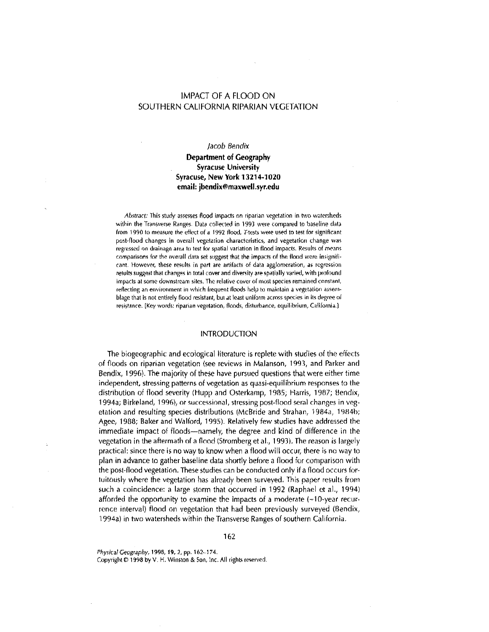# IMPACT OF A FLOOD ON SOUTHERN CALIFORNIA RIPARIAN VEGETATION

### *Jacob Bendix*

# **Department of Geography Syracuse University Syracuse, New York 13214-1020 email: jbendix@maxwell.syr.edu**

*Abstract:* This study assesses flood impacts on riparian vegetation in two watersheds within the Transverse Ranges. Data collected in 1993 were compared to baseline data from 1990 to measure the effect of a 1992 flood. T-tests were used to test for significant post-flood changes in overall vegetation characteristics, and vegetation change-was regressed on drainage area to test for spatial variation in flood impacts. Results of means comparisons for the overall data set suggest that the impacts of the flood were insignificant. However, these results in part are artifacts of data agglomeration, as regression results suggest that changes in total cover and diversity are spatially varied, with profound impacts at some downstream sites. The relative cover of most species remained constant, reflecting an environment in which frequent floods help to maintain a vegetation assemblage that is not entirely flood resistant, but at least uniform across species in its degree of resistance. [Key words: riparian vegetation, floods, disturbance, equilibrium, California.]

# INTRODUCTION

The biogeographic and ecological literature is replete with studies of the effects of floods on riparian vegetation (see reviews in Malanson, 1993, and Parker and Bendix, 1996). The majority of these have pursued questions that were either time independent, stressing patterns of vegetation as quasi-equilibrium responses to the distribution of flood severity (Hupp and Osterkamp, 1985; Harris, 1987; Bendix, 1994a; Birkeland, 1996), or successional, stressing post-flood seral changes in vegetation and resulting species distributions (McBride and Strahan, 1984a, 1984b; Agee, 1988; Baker and Walford, 1995). Relatively few studies have addressed the immediate impact of floods-namely, the degree and kind of difference in the vegetation in the aftermath of a flood (Stromberg et al., 1993). The reason is largely practical: since there is no way to know when a flood will *occur,* there is no way to plan in advance to gather baseline data shortly before a flood for comparison with the post-flood vegetation. These studies can be conducted only if a flood occurs fortuitously where the vegetation has already been surveyed. This paper results from such a coincidence: a large storm that occurred in 1992 (Raphael et al., 1994) afforded the opportunity to examine the impacts of a moderate (~10-year recurrence interval) flood on vegetation that had been previously surveyed (Bendix, 1994a) in two watersheds within the Transverse Ranges of southern California.

*Phy,ica/Geogr,phy,* 1998, **19,** 2, pp. 162-174.

Copyright  $D$  1998 by V. H. Winston & Son, Inc. All rights reserved.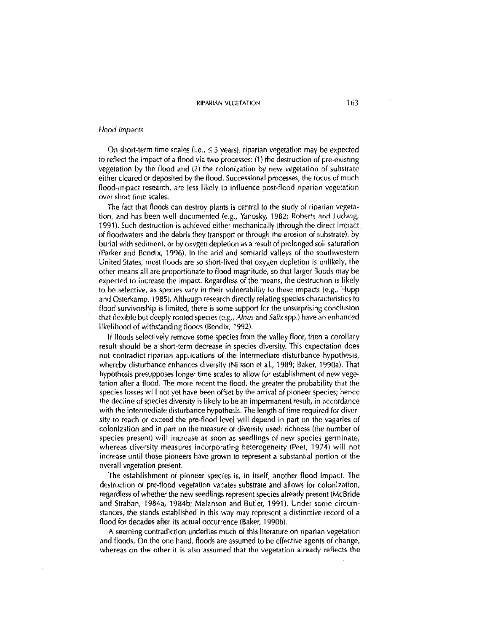#### Flood Impacts

On short-term time scales (i.e.,  $\leq$  5 years), riparian vegetation may be expected to reflect the impact of a flood via two processes: (1) the destruction of pre-existing vegetation by the flood and (2) the colonization by new vegetation of substrate either cleared or deposited by the flood. Successional processes, the focus of much flood-impact research, are less likely to influence post-flood riparian vegetation over short time scales.

The fact that floods can destroy plants is central to the study of riparian vegetation, and has been well documented (e.g., Yanosky, 1982; Roberts and Ludwig, 1991). Such destruction is achieved either mechanically (through the direct impact of floodwaters and the debris they transport or through the erosion of substrate), by burial with sediment, or by oxygen depletion as a result of prolonged soil saturation (Parker and Bendix, 1996), in the arid and semiarid valleys of the southwestern United States, most fioods are so short-lived that oxygen depletion is unlikely; the other means all are proportionate to flood magnitude, so that larger floods may be expected to increase the impact. Regardless of the means, 1he destruction is likely to be selective, as species vary in their vulnerability to these impacts (e.g., Hupp and Osterkamp, 1985). Although research directly relating species characteristics to flood survivorship is limited, there is some support for the unsurprising conclusion that flexible but deeply rooted species (e.g., *A/nus* and *Salix* spp.) have an enhanced likelihood of withstanding floods (Bendix, 1992).

If floods selectively remove some species from the valley floor, then a corollary result should be a short-term decrease in species diversity. This expectation does not contradict riparian applications of the intermediate disturbance hypothesis, whereby disturbance enhances diversity (Nilsson et aL, 1989; Baker, 1990a), That hypothesis presupposes longer time scales to allow for establishment of new vegetation after a flood. The more recent the flood, the greater the probability that the species losses will not yet have been offset by the arrival of pioneer species; hence the rleciine of species diversity is likely to be an impermanent result, in accordance with the intermediate disturbance hypothesis. The length of time required for diversity to reach or exceed the pre-flood level will depend in part on the vagaries of colonization and in part on the measure of diversity used: richness (the number of species present) will increase as soon as seedlings of new species germinate, whereas diversity measures incorporating heterogeneity (Peet, 1974) will not increase until those pioneers have grown to represent a substantial portion of the overall vegetation present.

The establishment of pioneer species is, in itself, another flood Impact. The destruction of pre-flood vegetation vacates substrate and allows for colonization, regardless of whether the new seedlings represent species already present (McBride and Strahan, 1984a, 1984b; Malanson and Butler, 1991). Under some circumstances, the stands established in this way may represent a distinctive record of a flood for decades after its actual occurrence (Baker, 1990b).

A seeming contradiction underlies much of this literature on riparian vegetation and floods, On the one hand, floods are assumed to be effective agents of change, whereas on the other it is also assumed that the vegetation already reflects the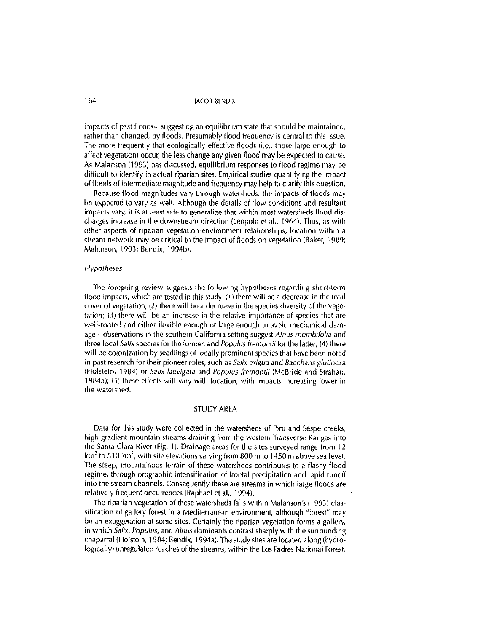impacts of past floods-suggesting an equilibrium state that should be maintained, rather than changed, by floods. Presumably flood frequency is central to this issue. The more frequently that ecologically effective floods (i.e., those large enough to affect vegetation) occur, the less change any given flood may be expected to cause. As Malanson (1993) has discussed, equilibrium responses to flood regime may be difficult to identify in actual riparian sites. Empirical studies quantifying the impact of floods of intermediate magnitude and frequency may help to clarify this question.

Because flood magnitudes vary through watersheds, the impacts of floods may he expected to vary as well. Although the details of flow conditions and resultant impacts vary, it is at least safe to generalize that within most watersheds flood discharges increase in the downstream direction (Leopold ct al., 1964), Thus, as with other aspects of riparian vegetation-environment relationships, location within a stream network may be critical to the impact of floods on vegetation (Baker, 1989; Malanson, 1993; Bendix, 1994b),

#### Hypotheses

The foregoing review suggests the following hypotheses regarding short-term flood impacts, which are tested in this study:  $(1)$  there will be a decrease in the total cover of vegetation; (2) there will be a decrease in the species diversity of the vegetation; (3) there will be an increase in the relative importance of species that are well-rooted and either flexible enough or large enough to avoid mechanical damage--observations in the southern California setting suggest Alnus rhombifolia and three local Salix species for the former, and Popufus fremontii for the latter; (4) there will be colonization by seedlings of locally prominent species that have been noted in past research for their pioneer roles, such as Salix exigua and Baccharis glutinosa (Holstein, 1984) *or* Salix *lacvigata* and *Popu/us* frcmontii (McBride and Strahati, 1984a); (Si these effects will vary with location, with impacts increasing lower in the watershed.

#### STUDY AKEA

Data for this study were collected in the watersheds of Piru and Sespe creeks, high-gradient mountain streams draining from the western Transverse Ranges into the Santa Clara River (Fig. I). Drainage areas for the sites surveyed range from 12 km<sup>2</sup> to 510 km<sup>2</sup>, with site elevations varying from 800 m to 1450 m above sea level. The steep, mountainous terrain of these watersheds contributes to a flashy flood regime, through orographic intensification of frontal precipitation and rapid runoff into the stream channels. Consequently these are streams in which large floods are relatively frequent occurrences (Raphael et al., 1994).

ihe riparian vegetation of these watersheds falls within Malanson's (1993) classification of gallery forest in a Mediterranean environment, although "forest" may be an exaggeration at some sites. Certainly the riparian vegetation forms a gallery, in which *Salix, Populus,* and *Alnus dominants contrast sharply with the surrounding* chaparral (Holstein, 1984; Bendix, 1994a). The study sites are located along (hydrologically) unregulated reaches of the streams, within the Los Padres National Forest.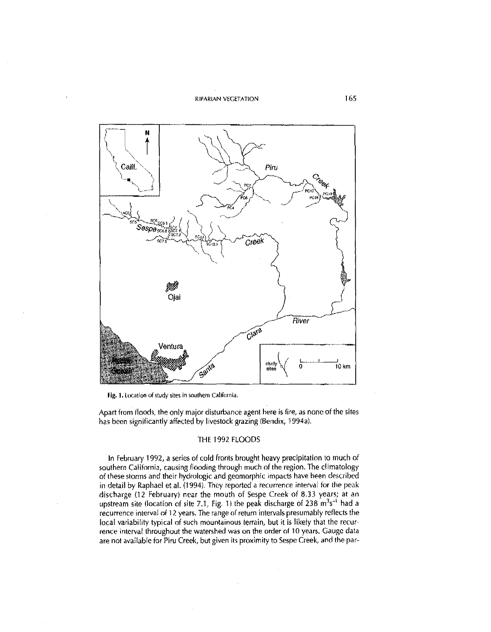RIPARIAN VEGETATION 165



Fig. 1. Location of study sites in southern California.

Apart from floods, the only major disturbance agent here is fire, as none of the sites has been significantly affected by livestock grazing (Bendix, 1994a).

# THE 1992 FLOODS

In February 1992, a series oi cold fronts brought heavy precipitation to much of southern California, causing flooding through much of the region. The climatology of these storms and their hydrologic and geomorphic impacts have been described in detail by Raphael et al. (1994). They reported a recurrence interval for the peak discharge (12 February) near the mouth of Sespe Creek of 8.33 years; at an upstream site (location of site 7.1, Fig. 1) the peak discharge of 238  $m<sup>3</sup>s<sup>-1</sup>$  had a recurrence interval of 12 years. The range of return intervals presumably reflects the local variability typical of such mountainous terrain, but it is likely that the recurrence interval throughout the watershed was on the order of 10 years. Gauge data are not available for Piru Creek, but given its proximity to Sespc Creek, and the par-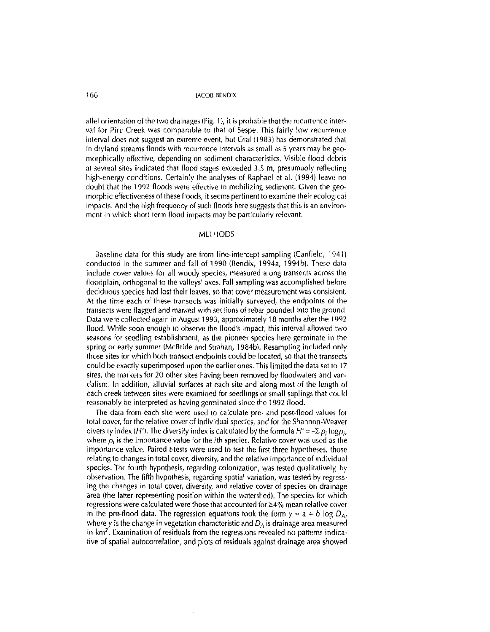allel orientation of the two drainages (Fig. 1), it is probable that the recurrence interval for Piru Creek was comparable to that of Sespe. This fairly low recurrence interval does not suggest an extreme event, but Graf (1983) has demonstrated that in dryland streams floods with recurrence intervals as small as 5 years may be geomorphically effective, depending on sediment characteristics. Visible flood debris at several sites indicated that flood stages exceeded 3.5 m, presumably reflecting high-energy conditions. Certainly ihe analyses of Raphael et al. (1994) leave no doubt that the 1992 floods were effective in mobilizing sediment. Given the geomorphic effectiveness of 1hese floods, it seems pertinent to examine their ecological impacts. And the high frequency of such floods here suggests that this is an environment in which short-lerm flood impacts may be particularly relevant.

#### METHODS

Baseline data for this study are from line-intercept sampling (Canfield, 1941) conducted in the summer and fall of 1990 (Bendix, 1994a, 1994b). These data include cover values for all woody species, measured along transects across the floodplain, orthogonal to the valleys' axes. Fall sampling was accomplished before deciduous species had lost their leaves, so that cover measurement was consislent. At the time each of these transects was initially surveyed, the endpoints of the transects were flagged and marked with sections of rebar pounded into the ground. Data were collecied again in August 1993, approximately 18 months after 1he 1992 flood. While soon enough to observe the flood's impact, this interval allowed two seasons for seedling establishment, as the pioneer species here germinate in the spring or early summer (McBride and Strahan, 19846). Resampling included only those sites for which hoth transect endpoints could be located, so that the transects could be exactly superimposed upon the earlier ones. This limited the data set to 17 sites, the markers for 20 other sites having been removed by floodwaters and vandalism. In addilion, alluvial surfaces at each site and along most of the length of each creek between sites were examined for seedlings or small saplings that could reasonably be interpreted as having germinated since the 1992 flood.

The data from each site were used to calculate pre- and post-flood values for tolal cover, for the relative cover of individual species, and for the Shannon-Weaver diversity index (H'). The diversity index is calculated by the formula  $H' = -\Sigma p_i \log p_i$ , where  $p_i$  is the importance value for the *i*th species. Relative cover was used as the importance value. Paired t-tests were used to test the first three hypotheses, those relating to changes in total cover, diversity, and the relative importance of individual species. The fourth hypothesis, regarding colonization, was tested qualitatively, by observation. The fifth hypothesis, regarding spatial variation, was tested by regressing the changes in total cover, diversity, and relative cover of species on drainage area (the latter representing position within the watershed). The species for which regressions were calculated were those that accounted for  $\geq$ 4% mean relative cover in the pre-flood data. The regression equations took the form  $y = a + b \log D_{A}$ , where y is the change in vegetation characteristic and *DA* is drainage area measured in km'. Examination of residuals from the regressions revealed no patterns indicative of spatial autocorrelation, and plots of residuals against drainage area showed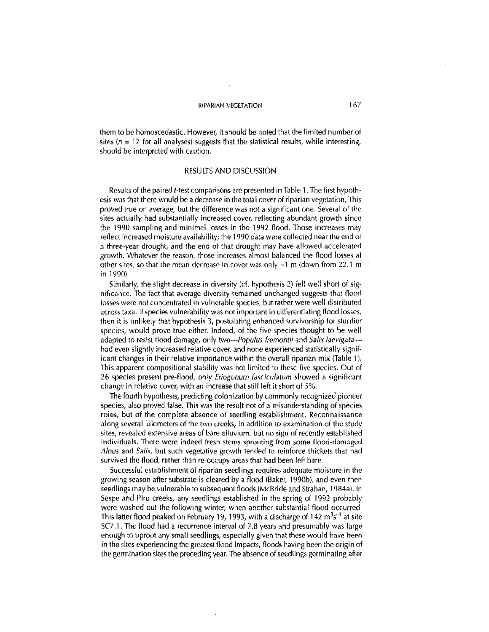them to be homoscedastic. However, it should be noted that the limited number of sites ( $n = 17$  for all analyses) suggests that the statistical results, while interesting, should be interpreted with caution.

#### RESULTS AND DISCUSSION

Results of the paired t-test comparisons are presented in Table 1. The first hypothesis was that there would be adecrease in the total cover of riparian vegetation. This proved true on average, but the difference was not a significant one. Several of the sites actually had substantially increased cover, reflecting abundant growth since the 1990 sampling and minimal losses in the 1992 flood. Those increases may reflect increased moisture availability; the 1990 data were collected near the end of a three-year drought, and the end of that drought may have allowed accelerated growth. Whatever the reason, those increases almost balanced the flood losses at other sites, so that the mean decrease in cover was only -1 m (down from 22.1 m in 1990)

Similarly, the slight decrease in diversity (cf. hypothesis 2) fell well short of significance. The fact that average diversity remained unchanged suggests that flood losses were not concentrated in vulnerable species, but rather were well distributed across taxa. If species vulnerability was not important in differentiating flood losses, then it is unlikely that hypothesis 3, postulating enhanced survivorship for sturdier species, would prove true either. Indeed, of the five species thought to be well adapted to resist flood damage, only two-Populus fremontii and Salix laevigatahad even slightly increased relative cover, and none experienced statistically significant changes in their relative importance within the overall riparian mix (Table 1). This apparent compositional stability was not limited to these five species. Out of 26 species present pre-flood, only Eriogonum fasciculatum showed a significant change in relative cover, with an increase that still left it short of 5%.

The fourth hypothesis, predicting colonization by commonly recognized pioneer species, also proved false. This was the result not of a misunderstanding of species roles, but of the complete absence of seedling establishment. Reconnaissance along several kilometers of the two creeks, in addition lo examination of the study sites, revealed extensive areas of bare alluvium, but no sign of recently established individuals. There were indeed fresh stems sprouting from some flood-damaged *A/nus* and Salix, but such vegetative growth tended to reinforce thickets that had survived the flood, rather than re-occupy areas that had been left bare.

Successful establishment of riparian seedlings requires adequate moisture in the growing season after substrate is cleared by a flood (Baker, 1990b), and even then seedlings may be vulnerable to subsequent floods (McBride and Strahan, 1984a). In Sespe and Piru creeks, any seedlings established in the spring of 1992 probably were washed out the following winter, when another substantial flood occurred. This latter flood peaked on February 19, 1993, with a discharge of 142  $m<sup>3</sup>s<sup>-1</sup>$  at site SC7.1. The flood had a recurrence interval of 7.8 years and presumably was large enough to uproot any small seedlings, especially given that these would have been in the sites experiencing the greatest flood impacts, floods having been the origin of the germination sites the preceding year. The absence of seedlings germinating after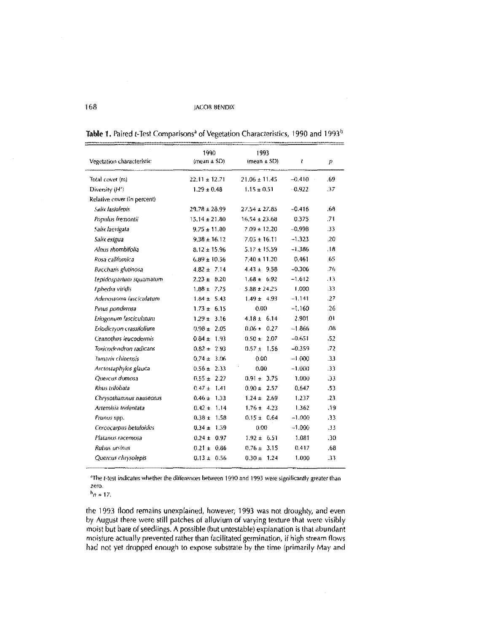| Vegetation characteristic   | 1990<br>$(mean \pm SD)$ | 1993<br>(mean $\pm$ SD) | t        | ρ     |
|-----------------------------|-------------------------|-------------------------|----------|-------|
| Total cover (m)             | $22.11 \pm 12.71$       | $21.06 \pm 11.45$       | $-0.410$ | .69   |
| Diversity (H')              | $1.29 \pm 0.48$         | $1.15 \pm 0.51$         | $-0.922$ | .37   |
| Relative cover (in percent) |                         |                         |          |       |
| Salix lasiolepis            | $29.78 \pm 28.99$       | 27.54 ± 27.85           | $-0.416$ | .68   |
| Populus fremontii           | $15.14 \pm 21.80$       | $16.54 \pm 23.68$       | 0.375    | .71   |
| Salix laevigata             | $9.75 \pm 11.80$        | $7.09 \pm 12.20$        | $-0.998$ | -33   |
| Salix exigua                | $9.38 \pm 16.12$        | $7.05 \pm 16.11$        | $-1.323$ | 20    |
| Alnus rhombifolia           | $8.12 \pm 15.96$        | $5.17 \pm 15.59$        | $-1.386$ | 18    |
| Rosa californica            | $6.89 \pm 10.56$        | $7.40 \pm 11.20$        | 0.461    | .65   |
| Baccharis glutinosa         | $4.82 \pm 7.14$         | $443 \pm 9.58$          | $-0.306$ | .76   |
| Lepidospartum squamatum     | $2.23 \pm 8.20$         | $1.68 \pm 6.92$         | $-1.612$ | .13   |
| Ephedra viridis             | $1.88 \pm 7.75$         | $5.88 \pm 24.25$        | 1,000    | 33    |
| Adenostoma fasciculatum     | $1.84 \pm 5.43$         | $1.49 \pm 4.93$         | $-1,141$ | .27   |
| Pinus ponderosa             | $1.73 \pm 6.15$         | 0.00                    | $-1.160$ | .26   |
| Eriogonum lasciculatum      | $1.29 \pm 3.16$         | $4.18 \pm 6.14$         | 2.901    | .01   |
| Eriodictyon crassifolium    | $0.98 \pm 2.05$         | $0.06 \pm 0.27$         | $-1.866$ | .08   |
| Ceanothus leucodennis       | $0.84 \pm 1.93$         | $0.50 \pm 2.07$         | $-0.651$ | $-52$ |
| Toxicodendron radicans      | $0.82 \pm 2.93$         | $0.57 + 1.56$           | $-0.359$ | 72    |
| <b>Jamarix chinensis</b>    | $0.74 \pm 3.06$         | 0.00                    | $-1.000$ | .33   |
| Arctostaphylos glauca       | $0.56 \pm 2.33$         | 0.00                    | $-1.000$ | 33    |
| Quercus dumosa              | $0.55 \pm 2.27$         | $0.91 \pm 3.75$         | 1.000    | 33    |
| Rhus trilobata              | $0.47 \pm 1.41$         | $0.90 \pm 2.57$         | 0.647    | .53   |
| Chrysothamnus nauseosus     | $0.46 \pm 1.33$         | $1.24 \pm 2.69$         | 1.237    | .23   |
| Artemisia tridentata        | $0.42 \pm 1.14$         | $1.76 \pm 4.23$         | 1.362    | .19   |
| Prunus spp.                 | $0.38 \pm 1.58$         | $0.15 \pm 0.64$         | $-1.000$ | .33   |
| Cercocarpus betuloides      | $0.34 \pm 1.39$         | 0.00                    | $-1.000$ | 33    |
| Platanus racemosa           | $0.24 \pm 0.97$         | $1.92 \pm 6.51$         | 1.081    | .30   |
| Rubus ursinus               | $0.21 \pm 0.86$         | $0.76 \pm 3.15$         | 0.417    | .68   |
| Quercus chrysolepis         | $0.13 \pm 0.56$         | $0.30 \pm 1.24$         | 1.000    | .33   |

Table 1. Paired t-Test Comparisons<sup>a</sup> of Vegetation Characteristics, 1990 and 1993<sup>b</sup>

aThe titest indicates whether the differences between 1990 and 1993 were significantly greater than zero.

 $h_p = 17$ .

the 1993 flood remains unexplained, however; 1993 was not droughty, and even by August there were still patches of alluvium of varying texture that were visibly moist but bare of seedlings. A possible (but untestable) explanation is that abundant moisture actually prevented rather than facilitated germination, if high stream flows had not yet dropped enough to expose substrate by the time (primarily May and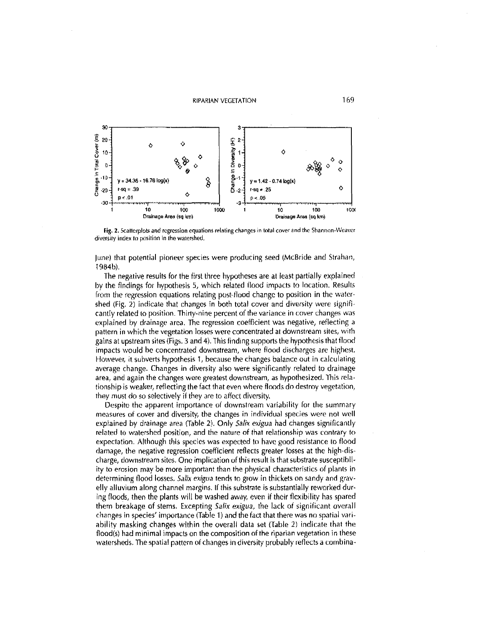**RIPARIAN VEGETATION** 



Fig. 2. Scatterplots and regression equations relating changes in total cover and the Shannon-Weaver diversity index to position in the watershed.

June) that potential pioneer species were producing seed (McBride and Strahan, 1984b).

The negative results for the first three hypotheses are at least partially explained by the findings for hypothesis 5, which related flood impacts to location. Results from the regression equations relating post-flood change to position in the watershed (Fig. 2) indicate that changes in both total cover and diversity were significantly related to position. Thirty-nine percent of the variance in cover changes was explained by drainage area. The regression coefficient was negative, reflecting a pattern in which the vegetation losses were concentrated at downstream sites, with gains at upstream sites (Figs. 3 and 4). This finding supports the hypothesis that flood impacts would be concentrated downstream, where flood discharges are highest. However, it subverts hypothesis 1, because the changes balance out in calculating average change. Changes in diversity also were significantly related to drainage area, and again the changes were greatest downstream, as hypothesized. This relationship is weaker, reflecting the fact that even where floods do destroy vegetation, they must do so selectively if they are to affect diversity.

Despite the apparent importance of downstream variability for the summary measures of cover and diversity, the changes in individual species were not well explained by drainage area (Table 2). Only Salix exigua had changes significantly related to watershed position, and the nature of that relationship was contrary to expectation. Although this species was expected to have good resistance to flood damage, the negative regression coefficient reflects greater losses at the high-discharge, downstream sites. One implication of this result is that substrate susceptibility to erosion may be more important than the physical characteristics of plants in determining flood losses. Salix exigua tends to grow in thickets on sandy and gravelly alluvium along channel margins. If this substrate is substantially reworked during floods, then the plants will be washed away, even if their flexibility has spared them breakage of stems. Excepting Salix exigua, the lack of significant overall changes in species' importance (Table 1) and the fact that there was no spatial variability masking changes within the overall data set (Table 2) indicate that the flood(s) had minimal impacts on the composition of the riparian vegetation in these watersheds. The spatial pattern of changes in diversity probably reflects a combina-

169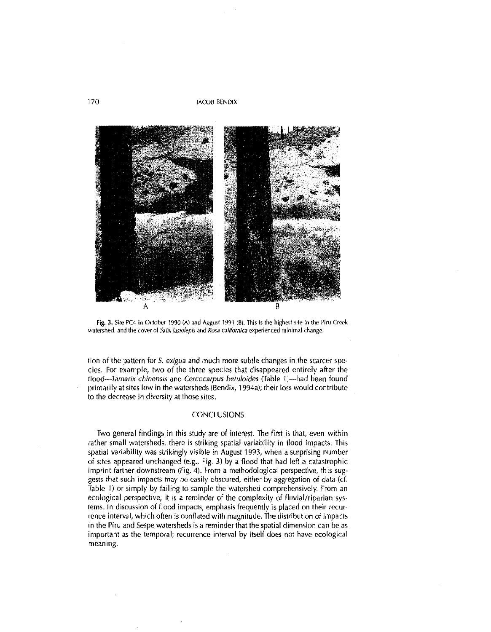



tion of the pattern for 5. exigua and much more subtle changes in the scarcer species. For example, two of the three species that disappeared entirely after the flood-Tamarix chinensis and Cercocarpus betuloides (Table 1)-had been found primarily at sites low in the watersheds (Bendix, 1994a); their loss would contribute to the decrease in diversity at those sites.

# CONCLUSIONS

Two general findings in this study are of interest. The first is that, even within rather small watersheds, there is striking spatial variability in flood impacts. This spatial variability was strikingly visible in August 1993, when a surprising number of sites appeared unchanged (e.g., Fig. 3) by a flood that had left a catastrophic imprint farther downstream (Fig. 4). From a methodological perspective, this suggests that such impacts may be easily obscured, either by aggregation of data (cf, Table 11 or simply by failing to sample the watershed comprehensively. From an ecological perspective, it is a reminder of the complexity of fluvial/riparian systems. In discussion of flood impacts, emphasis frequently is placed on their recurrence interval, which often is conflated with magnitude. The distribution of impacts in the Piru and Sespe watersheds is a reminder that the spatial dimension can be as important as the temporal; recurrence interval by itself does not have ecological meaning.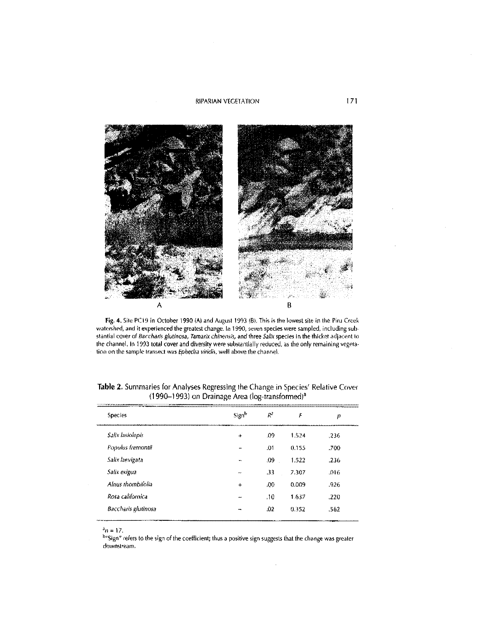#### **RIPARIAN VEGETATION**



Fig. 4. Site PC19 In October 1990 (A) and August 1993 (B). This is the lowest site in the Piru Creek watershed, and it experienced the greatest change. In 1990, seven species were sampled, including subwatershed, and it experienced the greatest change. In 1990, seven species were sampled, including sale-<br>stantial cover of *Baccharis glutinosa*, *Tamarix chinensis*, and three *Salix* species in the thicket adjacent to<br>the

| <b>Species</b>      | Sign <sup>b</sup> | $R^2$ | F     | р    |
|---------------------|-------------------|-------|-------|------|
| Salix lasiolepis    | ÷                 | .09   | 1.524 | .236 |
| Populus fremontii   |                   | .01   | 0.155 | .700 |
| Salix laevigata     |                   | .09   | 1.522 | .236 |
| Salix exigua        | <b>MA</b>         | .33   | 7.307 | .016 |
| Alnus thombifolia   | +                 | .00   | 0.009 | -926 |
| Rosa californica    | سد                | 10،   | 1.637 | .220 |
| Baccharis glutinosa | m                 | .02   | 0.352 | 562  |

|  | <b>Table 2.</b> Summaries for Analyses Regressing the Change in Species' Relative Cover |  |
|--|-----------------------------------------------------------------------------------------|--|
|  | $(1990-1993)$ on Drainage Area (log-transformed) <sup>a</sup>                           |  |

 $^{\rm a}$  n  $\approx$  17.

b"Sign" refers to the sign of the coefficient; thus a positive sign suggests that the change was greater downstream.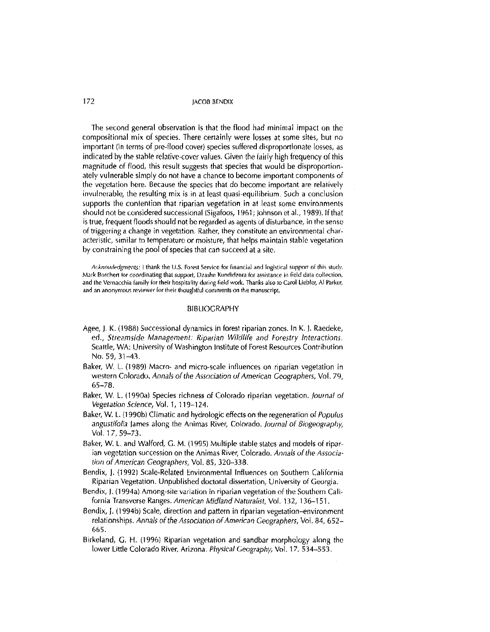The second general observation is that the flood had minimal impact on the compositional mix of species. There certainly were losses at some sites, but no important (in terms of pre-flood cover) species suffered disproportionate losses, as indicated by the stable relative-cover values. Given the fairly high frequency of this magnitude of flood, this result suggests that species that would be disproportionately vulnerable simply do not have a chance to become important components of the vegetation here. Because the species that do become important are relatively invulnerable, the resulting mix is in at least quasi-equilibrium. Such a conclusion supports the contention that riparian vegetation in at least some environments should not be considered successional (Sigafoos, 1961; Johnson et al., 1989). If that is true, frequent floods should not be regarded as agents of disturbance, in the sense of triggering a change in vegetation. Rather, they constitute an environmental characteristic, similar to temperature or moisture, that helps maintain stable vegetation by constraining the pool of species that can succeed at a site.

**Acknowledgments: I thank the U.S. Forest Service tor financial and logistir:al surrort of thi5 study. Mark Borchert for coordinating that support, Dzashe Kundidzora for assistance in field data collection,** and the Vernacchia family for their hospitality during field work. Thanks also to Carol Liebler, Al Parker, and an anonymous reviewer for their thoughtful comments on the manuscript,

#### BIBLIOGRAPHY

- Agee, J. K. (1988) Successional dynamics in forest riparian zones. In **K.** J. Raedeke, ed., Streamside Management: Riparian Wildlife and Forestry Interactions. Seattle, WA: University of Washington Institute of Forest Resources Contribution No. 59, 31-43.
- Baker, W. L. (1989) Macro- and micro-scale influences on riparian vegetation in western Colorado. Annals of the Association of American Geographers, Vol. 79, 65-78.
- Baker, W. L. (1990a) Species richness of Colorado riparian vegetation. Journal of Vegetation Science, Vol.1, 119-124.
- Baker, W. L. (1990b) Climatic and hydrologic effects on the regeneration of Populus angustifolia James along the Animas River, Colorado. Journal of Biogeography, Vol. 17, 59-73.
- Baker, W. L. and Walford, G. M. (1995) Multiple stable states and models of riparian vegetation succession on the Animas River, Colorado. *Annals* of the *Associa·*  tion of American Geographers, Vol. 85, 320-338.
- Bendix, J. (1992) Scale-Related Environmental Influences on Southern California Riparian Vegetation. Unpublished doctoral dissertation, University of Georgia.
- Bendix, J. (1994a) Among-site variation in riparian vegetation of the Southern California Transverse Ranges. *American Midland Naturalist,* Vol. 132, 136-151.
- Bendix, J. (1994b) Scale, direction and pattern in riparian vegetation-environment relationships. Annals of the Association of American Geographers, Vol. 84, 652-665.
- Birkeland, G. H. (1996) Riparian vegetation and sandbar morphology along the lower Little Colorado River, Arizona. Physical Geography, Vol. 17, 534–553.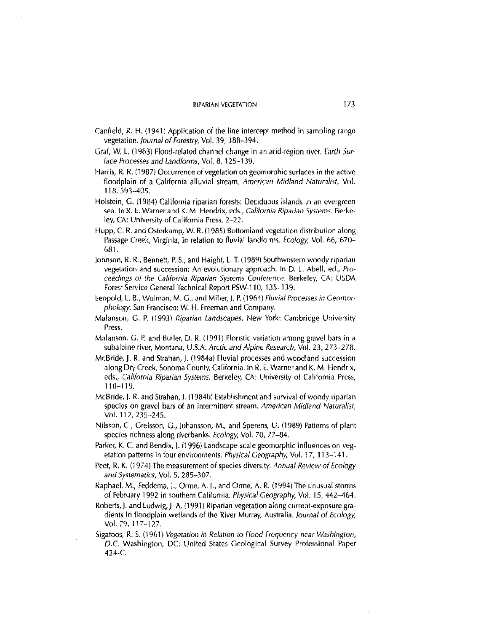- Canfield, R. **H.** (1941) Application of the line intercept method in sampling range vegetation. Journal of Forestry, Vol. 39, 388-394.
- Graf, W. L. (1983) Flood-related channel change in an arid-region river. Earth Surface Processes and Landforms, Vol. 8, 125-139.
- Harris, R. R. (1987) Occurrence of vegetation on geomorphic surfaces **in** the active floodplain of a California alluvial stream. *American Midland Naturalist*, Vol. 118, 393-405.
- Holstein, G. (1984) California riparian forests: Deciduous islands in an evergreen sea. In R. E. Warner and K. M. Hendrix, eds., California Riparian Systems. Berkeley, CA: University of California Press, 2-22.
- Hupp, C. R. and Osterkamp, W. R. (1985) Bottomland vegetation distribution along Passage Creek, Virginia, in relation to fluvial landforms. Ecology, Vol. 66, 670- 681.
- Johnson, R. R., Bennett, P. S., and Haight, LT. (1989) Southwestern woody riparian vegetation and succession: An evolutionary approach. In D. L. Abell, ed., Proceedings of the California Riparian Systems Conference. Berkeley, CA: USDA Forest Service General Technical Report PSW-110, 135--139.
- Leopold, L. B., Wolman, M. G., and Miller, J. P. (1964) Fluvial Processes in Geomorphology. San Francisco: W. H. Freeman and Company.
- Malanson, G. P. (1993) *Riparian Landscapes.* New York: Cambridge Univiersity Press.
- Malanson, G. P. and Butler, D. R. (1991) Floristic variation among gravel bars in a subalpine river, Montana, U.S.A. *Arctic and Alpine Research,* Vol. *23,* 273~278.
- McBride, **J.** R. and Strahan, J. (1984a) Fluvial processes and woodland succession along Dry Creek, Sonoma County, California. In R. E. Warner and K. M. Hendrix, eds., California Riparian Systems. Berkeley, CA: University of California Press, 110-119.
- McBride, J. R. and Strahan, **J.** (1984b) Establishment and survival of woody riparian species on gravel bars of an intermittent stream. American Midland Naturalist, Vol. 112, 235-245.
- Nilsson, C., Grelsson, G., Johansson, M., and Sperens, U. (1989) Patterns of plant species richness along riverbanks. Ecology, Vol. 70, 77-84.
- Parker, K. C. and Bendix,). (1996) Landscape·scale geomorphic influences on vegetation patterns in four environments. Physical Geography, Vol. 17, 113-141.
- Peet, R. K. (1974) The measurement of species diversity. *Annual* Review of Ecology *and Sysrematics,* Vol. 5, 285-307.
- Raphael, M., Feddema, J., Orme, A. **J.,** and Orme, A. R. (1994) The unusual storms of February 1992 in southern California. Physical Geography, Vol. 15, 442-464.
- Roberts,). and Ludwig, **J,** A. (1991) Riparian vegetation along current-exposure gradients in floodplain wetlands of the River Murray, Australia. *Journal* of Ecology, Vol. 79, 117-127.
- Sigafoos, R. S. (1961) *Vegetation in Relation to Flood Frequency near Washington*, D.C. Washington, DC: United States Geological Survey Professional Paper 424-C.